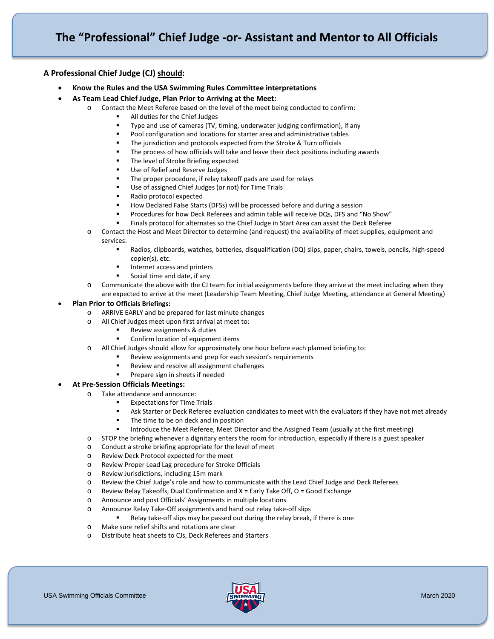## **The "Professional" Chief Judge -or- Assistant and Mentor to All Officials**

## **A Professional Chief Judge (CJ) should:**

- **Know the Rules and the USA Swimming Rules Committee interpretations**
- **As Team Lead Chief Judge, Plan Prior to Arriving at the Meet:**
	- o Contact the Meet Referee based on the level of the meet being conducted to confirm:
		- All duties for the Chief Judges
		- Type and use of cameras (TV, timing, underwater judging confirmation), if any
		- Pool configuration and locations for starter area and administrative tables
		- The jurisdiction and protocols expected from the Stroke & Turn officials
		- The process of how officials will take and leave their deck positions including awards
		- The level of Stroke Briefing expected
		- Use of Relief and Reserve Judges
		- The proper procedure, if relay takeoff pads are used for relays
		- Use of assigned Chief Judges (or not) for Time Trials
		- Radio protocol expected
		- How Declared False Starts (DFSs) will be processed before and during a session
		- Procedures for how Deck Referees and admin table will receive DQs, DFS and "No Show"
		- Finals protocol for alternates so the Chief Judge in Start Area can assist the Deck Referee
	- o Contact the Host and Meet Director to determine (and request) the availability of meet supplies, equipment and services:
		- Radios, clipboards, watches, batteries, disqualification (DQ) slips, paper, chairs, towels, pencils, high-speed copier(s), etc.
		- Internet access and printers
		- Social time and date, if any
	- o Communicate the above with the CJ team for initial assignments before they arrive at the meet including when they are expected to arrive at the meet (Leadership Team Meeting, Chief Judge Meeting, attendance at General Meeting)

#### • **Plan Prior to Officials Briefings:**

- o ARRIVE EARLY and be prepared for last minute changes
- o All Chief Judges meet upon first arrival at meet to:
	- Review assignments & duties
	- Confirm location of equipment items
- o All Chief Judges should allow for approximately one hour before each planned briefing to:
	- Review assignments and prep for each session's requirements
		- Review and resolve all assignment challenges
		- Prepare sign in sheets if needed

#### • **At Pre-Session Officials Meetings:**

- o Take attendance and announce:
	- Expectations for Time Trials
		- Ask Starter or Deck Referee evaluation candidates to meet with the evaluators if they have not met already
		- The time to be on deck and in position
		- Introduce the Meet Referee, Meet Director and the Assigned Team (usually at the first meeting)
- o STOP the briefing whenever a dignitary enters the room for introduction, especially if there is a guest speaker
- o Conduct a stroke briefing appropriate for the level of meet
- o Review Deck Protocol expected for the meet
- o Review Proper Lead Lag procedure for Stroke Officials
- o Review Jurisdictions, including 15m mark
- o Review the Chief Judge's role and how to communicate with the Lead Chief Judge and Deck Referees
- $\circ$  Review Relay Takeoffs, Dual Confirmation and X = Early Take Off, O = Good Exchange
- o Announce and post Officials' Assignments in multiple locations
- Announce Relay Take-Off assignments and hand out relay take-off slips
- Relay take-off slips may be passed out during the relay break, if there is one
- o Make sure relief shifts and rotations are clear
- o Distribute heat sheets to CJs, Deck Referees and Starters

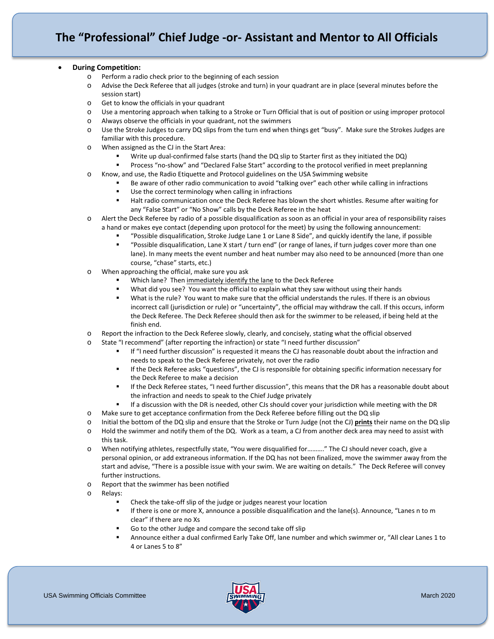#### • **During Competition:**

- o Perform a radio check prior to the beginning of each session
- o Advise the Deck Referee that all judges (stroke and turn) in your quadrant are in place (several minutes before the session start)
- o Get to know the officials in your quadrant
- o Use a mentoring approach when talking to a Stroke or Turn Official that is out of position or using improper protocol
- o Always observe the officials in your quadrant, not the swimmers
- o Use the Stroke Judges to carry DQ slips from the turn end when things get "busy". Make sure the Strokes Judges are familiar with this procedure.
- o When assigned as the CJ in the Start Area:
	- Write up dual-confirmed false starts (hand the DQ slip to Starter first as they initiated the DQ)
		- Process "no-show" and "Declared False Start" according to the protocol verified in meet preplanning
- o Know, and use, the Radio Etiquette and Protocol guidelines on the USA Swimming website
	- Be aware of other radio communication to avoid "talking over" each other while calling in infractions
	- Use the correct terminology when calling in infractions
	- Halt radio communication once the Deck Referee has blown the short whistles. Resume after waiting for any "False Start" or "No Show" calls by the Deck Referee in the heat
- o Alert the Deck Referee by radio of a possible disqualification as soon as an official in your area of responsibility raises a hand or makes eye contact (depending upon protocol for the meet) by using the following announcement:
	- "Possible disqualification, Stroke Judge Lane 1 or Lane 8 Side", and quickly identify the lane, if possible
	- "Possible disqualification, Lane X start / turn end" (or range of lanes, if turn judges cover more than one lane). In many meets the event number and heat number may also need to be announced (more than one course, "chase" starts, etc.)
- o When approaching the official, make sure you ask
	- Which lane? Then immediately identify the lane to the Deck Referee
	- What did you see? You want the official to explain what they saw without using their hands
	- What is the rule? You want to make sure that the official understands the rules. If there is an obvious incorrect call (jurisdiction or rule) or "uncertainty", the official may withdraw the call. If this occurs, inform the Deck Referee. The Deck Referee should then ask for the swimmer to be released, if being held at the finish end.
- o Report the infraction to the Deck Referee slowly, clearly, and concisely, stating what the official observed
- o State "I recommend" (after reporting the infraction) or state "I need further discussion"
	- If "I need further discussion" is requested it means the CJ has reasonable doubt about the infraction and needs to speak to the Deck Referee privately, not over the radio
	- If the Deck Referee asks "questions", the CJ is responsible for obtaining specific information necessary for the Deck Referee to make a decision
	- If the Deck Referee states, "I need further discussion", this means that the DR has a reasonable doubt about the infraction and needs to speak to the Chief Judge privately
	- If a discussion with the DR is needed, other CJs should cover your jurisdiction while meeting with the DR
- o Make sure to get acceptance confirmation from the Deck Referee before filling out the DQ slip
- o Initial the bottom of the DQ slip and ensure that the Stroke or Turn Judge (not the CJ) **prints** their name on the DQ slip
- o Hold the swimmer and notify them of the DQ. Work as a team, a CJ from another deck area may need to assist with this task.
- o When notifying athletes, respectfully state, "You were disqualified for………." The CJ should never coach, give a personal opinion, or add extraneous information. If the DQ has not been finalized, move the swimmer away from the start and advise, "There is a possible issue with your swim. We are waiting on details." The Deck Referee will convey further instructions.
- o Report that the swimmer has been notified
- o Relays:
	- Check the take-off slip of the judge or judges nearest your location
	- **If there is one or more X, announce a possible disqualification and the lane(s). Announce, "Lanes n to m** clear" if there are no Xs
	- Go to the other Judge and compare the second take off slip
	- Announce either a dual confirmed Early Take Off, lane number and which swimmer or, "All clear Lanes 1 to 4 or Lanes 5 to 8"

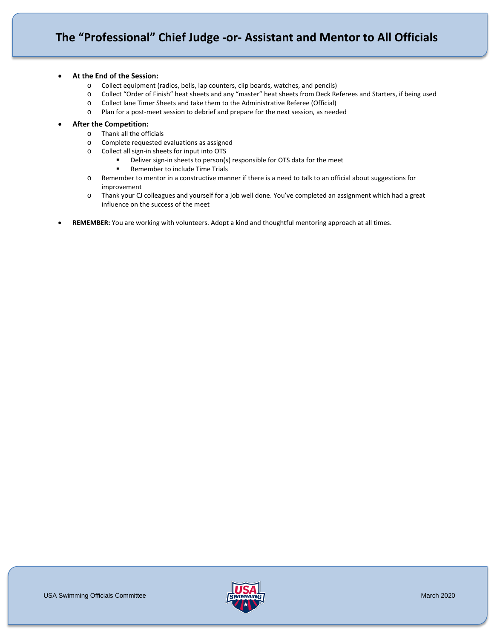# **The "Professional" Chief Judge -or- Assistant and Mentor to All Officials**

#### • **At the End of the Session:**

- o Collect equipment (radios, bells, lap counters, clip boards, watches, and pencils)
- o Collect "Order of Finish" heat sheets and any "master" heat sheets from Deck Referees and Starters, if being used
- o Collect lane Timer Sheets and take them to the Administrative Referee (Official)
- o Plan for a post-meet session to debrief and prepare for the next session, as needed

#### • **After the Competition:**

- o Thank all the officials
- o Complete requested evaluations as assigned
- o Collect all sign-in sheets for input into OTS
	- **•** Deliver sign-in sheets to person(s) responsible for OTS data for the meet
	- Remember to include Time Trials
- o Remember to mentor in a constructive manner if there is a need to talk to an official about suggestions for improvement
- o Thank your CJ colleagues and yourself for a job well done. You've completed an assignment which had a great influence on the success of the meet
- **REMEMBER:** You are working with volunteers. Adopt a kind and thoughtful mentoring approach at all times.

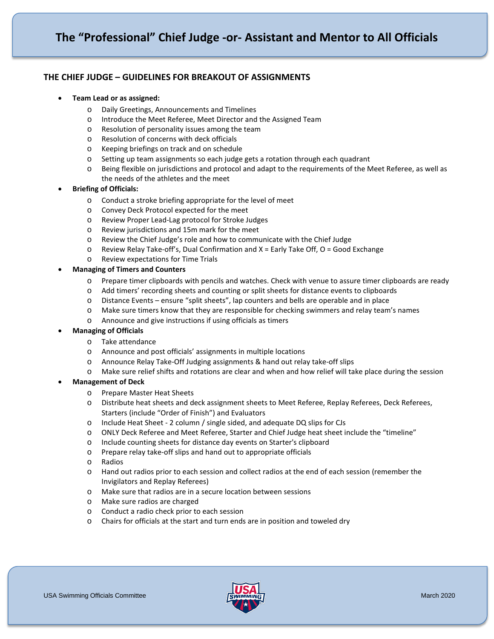## **THE CHIEF JUDGE – GUIDELINES FOR BREAKOUT OF ASSIGNMENTS**

- **Team Lead or as assigned:**
	- o Daily Greetings, Announcements and Timelines
	- o Introduce the Meet Referee, Meet Director and the Assigned Team
	- o Resolution of personality issues among the team
	- o Resolution of concerns with deck officials
	- o Keeping briefings on track and on schedule
	- o Setting up team assignments so each judge gets a rotation through each quadrant
	- o Being flexible on jurisdictions and protocol and adapt to the requirements of the Meet Referee, as well as the needs of the athletes and the meet

## • **Briefing of Officials:**

- o Conduct a stroke briefing appropriate for the level of meet
- o Convey Deck Protocol expected for the meet
- o Review Proper Lead-Lag protocol for Stroke Judges
- o Review jurisdictions and 15m mark for the meet
- o Review the Chief Judge's role and how to communicate with the Chief Judge
- o Review Relay Take-off's, Dual Confirmation and X = Early Take Off, O = Good Exchange
- o Review expectations for Time Trials

## • **Managing of Timers and Counters**

- o Prepare timer clipboards with pencils and watches. Check with venue to assure timer clipboards are ready
- o Add timers' recording sheets and counting or split sheets for distance events to clipboards
- o Distance Events ensure "split sheets", lap counters and bells are operable and in place
- o Make sure timers know that they are responsible for checking swimmers and relay team's names
- o Announce and give instructions if using officials as timers

#### • **Managing of Officials**

- o Take attendance
- o Announce and post officials' assignments in multiple locations
- o Announce Relay Take-Off Judging assignments & hand out relay take-off slips
- o Make sure relief shifts and rotations are clear and when and how relief will take place during the session

#### • **Management of Deck**

- o Prepare Master Heat Sheets
- o Distribute heat sheets and deck assignment sheets to Meet Referee, Replay Referees, Deck Referees, Starters (include "Order of Finish") and Evaluators
- o Include Heat Sheet 2 column / single sided, and adequate DQ slips for CJs
- o ONLY Deck Referee and Meet Referee, Starter and Chief Judge heat sheet include the "timeline"<br>
o Include counting sheets for distance day events on Starter's clipboard
- Include counting sheets for distance day events on Starter's clipboard
- o Prepare relay take-off slips and hand out to appropriate officials
- o Radios
- Hand out radios prior to each session and collect radios at the end of each session (remember the Invigilators and Replay Referees)
- o Make sure that radios are in a secure location between sessions
- o Make sure radios are charged
- o Conduct a radio check prior to each session
- o Chairs for officials at the start and turn ends are in position and toweled dry

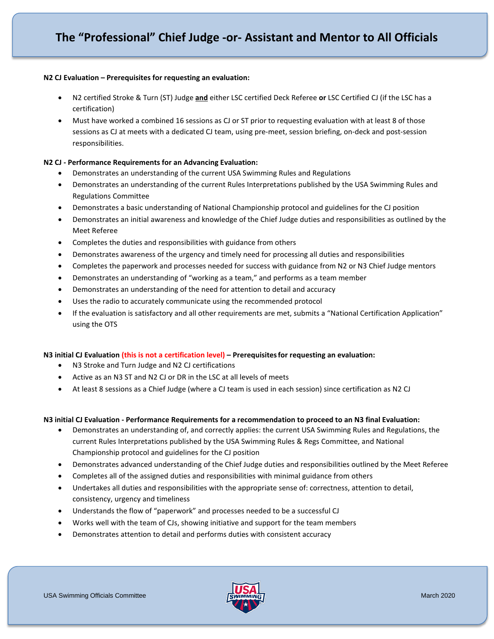#### **N2 CJ Evaluation – Prerequisites for requesting an evaluation:**

- N2 certified Stroke & Turn (ST) Judge **and** either LSC certified Deck Referee **or** LSC Certified CJ (if the LSC has a certification)
- Must have worked a combined 16 sessions as CJ or ST prior to requesting evaluation with at least 8 of those sessions as CJ at meets with a dedicated CJ team, using pre-meet, session briefing, on-deck and post-session responsibilities.

## **N2 CJ - Performance Requirements for an Advancing Evaluation:**

- Demonstrates an understanding of the current USA Swimming Rules and Regulations
- Demonstrates an understanding of the current Rules Interpretations published by the USA Swimming Rules and Regulations Committee
- Demonstrates a basic understanding of National Championship protocol and guidelines for the CJ position
- Demonstrates an initial awareness and knowledge of the Chief Judge duties and responsibilities as outlined by the Meet Referee
- Completes the duties and responsibilities with guidance from others
- Demonstrates awareness of the urgency and timely need for processing all duties and responsibilities
- Completes the paperwork and processes needed for success with guidance from N2 or N3 Chief Judge mentors
- Demonstrates an understanding of "working as a team," and performs as a team member
- Demonstrates an understanding of the need for attention to detail and accuracy
- Uses the radio to accurately communicate using the recommended protocol
- If the evaluation is satisfactory and all other requirements are met, submits a "National Certification Application" using the OTS

## **N3 initial CJ Evaluation (this is not a certification level) – Prerequisitesfor requesting an evaluation:**

- N3 Stroke and Turn Judge and N2 CJ certifications
- Active as an N3 ST and N2 CJ or DR in the LSC at all levels of meets
- At least 8 sessions as a Chief Judge (where a CJ team is used in each session) since certification as N2 CJ

#### **N3 initial CJ Evaluation - Performance Requirements for a recommendation to proceed to an N3 final Evaluation:**

- Demonstrates an understanding of, and correctly applies: the current USA Swimming Rules and Regulations, the current Rules Interpretations published by the USA Swimming Rules & Regs Committee, and National Championship protocol and guidelines for the CJ position
- Demonstrates advanced understanding of the Chief Judge duties and responsibilities outlined by the Meet Referee
- Completes all of the assigned duties and responsibilities with minimal guidance from others
- Undertakes all duties and responsibilities with the appropriate sense of: correctness, attention to detail, consistency, urgency and timeliness
- Understands the flow of "paperwork" and processes needed to be a successful CJ
- Works well with the team of CJs, showing initiative and support for the team members
- Demonstrates attention to detail and performs duties with consistent accuracy